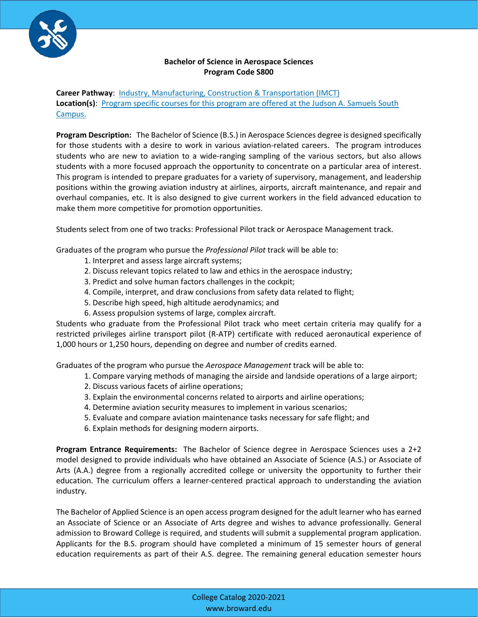

#### **Bachelor of Science in Aerospace Sciences Program Code S800**

**Career Pathway**: [Industry, Manufacturing, Construction & Transportation \(IMCT\)](http://www.broward.edu/academics/programs/Pages/industry-manufacturing-construction-IMC.aspx) **Location(s)**: [Program specific courses for this program are offered at the Judson A. Samuels South](http://www.broward.edu/locations/Pages/default.aspx)  [Campus.](http://www.broward.edu/locations/Pages/default.aspx) 

**Program Description:** The Bachelor of Science (B.S.) in Aerospace Sciences degree is designed specifically for those students with a desire to work in various aviation-related careers. The program introduces students who are new to aviation to a wide-ranging sampling of the various sectors, but also allows students with a more focused approach the opportunity to concentrate on a particular area of interest. This program is intended to prepare graduates for a variety of supervisory, management, and leadership positions within the growing aviation industry at airlines, airports, aircraft maintenance, and repair and overhaul companies, etc. It is also designed to give current workers in the field advanced education to make them more competitive for promotion opportunities.

Students select from one of two tracks: Professional Pilot track or Aerospace Management track.

Graduates of the program who pursue the *Professional Pilot* track will be able to:

- 1. Interpret and assess large aircraft systems;
- 2. Discuss relevant topics related to law and ethics in the aerospace industry;
- 3. Predict and solve human factors challenges in the cockpit;
- 4. Compile, interpret, and draw conclusions from safety data related to flight;
- 5. Describe high speed, high altitude aerodynamics; and
- 6. Assess propulsion systems of large, complex aircraft.

Students who graduate from the Professional Pilot track who meet certain criteria may qualify for a restricted privileges airline transport pilot (R-ATP) certificate with reduced aeronautical experience of 1,000 hours or 1,250 hours, depending on degree and number of credits earned.

Graduates of the program who pursue the *Aerospace Management* track will be able to:

- 1. Compare varying methods of managing the airside and landside operations of a large airport;
- 2. Discuss various facets of airline operations;
- 3. Explain the environmental concerns related to airports and airline operations;
- 4. Determine aviation security measures to implement in various scenarios;
- 5. Evaluate and compare aviation maintenance tasks necessary for safe flight; and
- 6. Explain methods for designing modern airports.

**Program Entrance Requirements:** The Bachelor of Science degree in Aerospace Sciences uses a 2+2 model designed to provide individuals who have obtained an Associate of Science (A.S.) or Associate of Arts (A.A.) degree from a regionally accredited college or university the opportunity to further their education. The curriculum offers a learner-centered practical approach to understanding the aviation industry.

The Bachelor of Applied Science is an open access program designed for the adult learner who has earned an Associate of Science or an Associate of Arts degree and wishes to advance professionally. General admission to Broward College is required, and students will submit a supplemental program application. Applicants for the B.S. program should have completed a minimum of 15 semester hours of general education requirements as part of their A.S. degree. The remaining general education semester hours

> College Catalog 2020-2021 www.broward.edu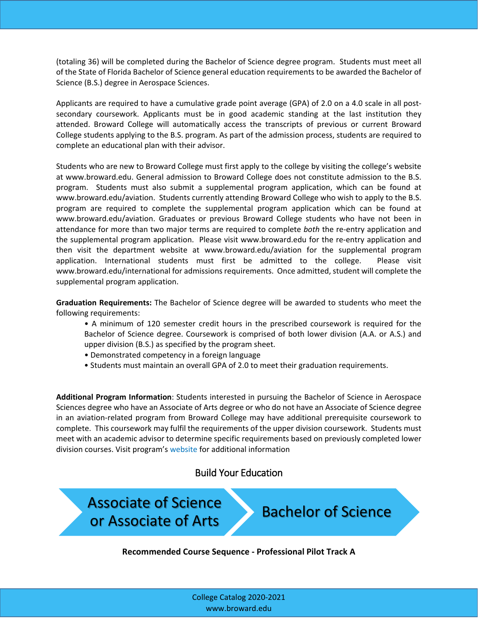(totaling 36) will be completed during the Bachelor of Science degree program. Students must meet all of the State of Florida Bachelor of Science general education requirements to be awarded the Bachelor of Science (B.S.) degree in Aerospace Sciences.

Applicants are required to have a cumulative grade point average (GPA) of 2.0 on a 4.0 scale in all postsecondary coursework. Applicants must be in good academic standing at the last institution they attended. Broward College will automatically access the transcripts of previous or current Broward College students applying to the B.S. program. As part of the admission process, students are required to complete an educational plan with their advisor.

Students who are new to Broward College must first apply to the college by visiting the college's website at www.broward.edu. General admission to Broward College does not constitute admission to the B.S. program. Students must also submit a supplemental program application, which can be found at www.broward.edu/aviation. Students currently attending Broward College who wish to apply to the B.S. program are required to complete the supplemental program application which can be found at www.broward.edu/aviation. Graduates or previous Broward College students who have not been in attendance for more than two major terms are required to complete *both* the re-entry application and the supplemental program application. Please visit www.broward.edu for the re-entry application and then visit the department website at www.broward.edu/aviation for the supplemental program application. International students must first be admitted to the college. Please visit www.broward.edu/international for admissions requirements. Once admitted, student will complete the supplemental program application.

**Graduation Requirements:** The Bachelor of Science degree will be awarded to students who meet the following requirements:

- A minimum of 120 semester credit hours in the prescribed coursework is required for the Bachelor of Science degree. Coursework is comprised of both lower division (A.A. or A.S.) and upper division (B.S.) as specified by the program sheet.
- Demonstrated competency in a foreign language
- Students must maintain an overall GPA of 2.0 to meet their graduation requirements.

**Additional Program Information**: Students interested in pursuing the Bachelor of Science in Aerospace Sciences degree who have an Associate of Arts degree or who do not have an Associate of Science degree in an aviation-related program from Broward College may have additional prerequisite coursework to complete. This coursework may fulfil the requirements of the upper division coursework. Students must meet with an academic advisor to determine specific requirements based on previously completed lower division courses. Visit program's [website](http://www.broward.edu/aviation) for additional information

# Build Your Education

 $\overline{\phantom{a}}$ 

ì

Associate of Science Associate of Science<br>or Associate of Arts Bachelor of Science

Ĩ **Recommended Course Sequence - Professional Pilot Track A**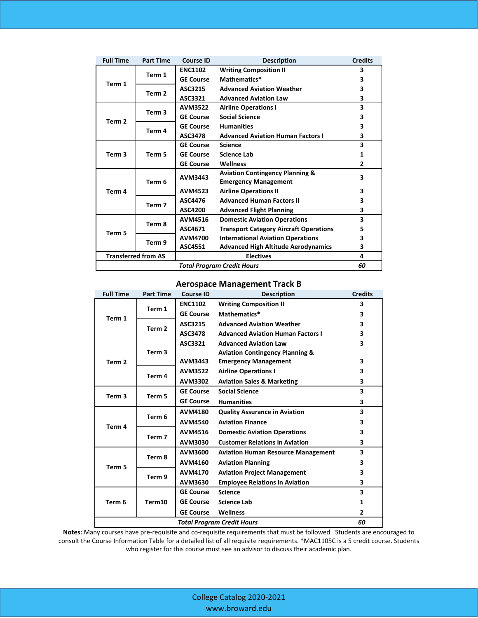| <b>Full Time</b>           | <b>Part Time</b>  | <b>Course ID</b> | <b>Description</b>                            | <b>Credits</b> |
|----------------------------|-------------------|------------------|-----------------------------------------------|----------------|
| Term 1                     | Term 1            | <b>ENC1102</b>   | <b>Writing Composition II</b>                 | 3              |
|                            |                   | <b>GE Course</b> | Mathematics*                                  | 3              |
|                            | Term 2            | ASC3215          | <b>Advanced Aviation Weather</b>              | 3              |
|                            |                   | ASC3321          | <b>Advanced Aviation Law</b>                  | 3              |
| Term <sub>2</sub>          | Term 3            | <b>AVM3522</b>   | <b>Airline Operations I</b>                   | 3              |
|                            |                   | <b>GE Course</b> | <b>Social Science</b>                         | 3              |
|                            | Term 4            | <b>GE Course</b> | <b>Humanities</b>                             | 3              |
|                            |                   | ASC3478          | <b>Advanced Aviation Human Factors I</b>      | 3              |
|                            | Term 5            | <b>GE Course</b> | <b>Science</b>                                | 3              |
| Term <sub>3</sub>          |                   | <b>GE Course</b> | <b>Science Lab</b>                            | 1              |
|                            |                   | <b>GE Course</b> | Wellness                                      | 2              |
| Term 4                     | Term 6            | AVM3443          | <b>Aviation Contingency Planning &amp;</b>    | 3              |
|                            |                   |                  | <b>Emergency Management</b>                   |                |
|                            |                   | <b>AVM4523</b>   | <b>Airline Operations II</b>                  | 3              |
|                            | Term <sub>7</sub> | ASC4476          | <b>Advanced Human Factors II</b>              | 3              |
|                            |                   | ASC4200          | <b>Advanced Flight Planning</b>               | 3              |
| Term 5                     | Term 8            | <b>AVM4516</b>   | <b>Domestic Aviation Operations</b>           | 3              |
|                            |                   | ASC4671          | <b>Transport Category Aircraft Operations</b> | 5              |
|                            | Term 9            | <b>AVM4700</b>   | <b>International Aviation Operations</b>      | 3              |
|                            |                   | ASC4551          | <b>Advanced High Altitude Aerodynamics</b>    | 3              |
| <b>Transferred from AS</b> |                   | <b>Electives</b> |                                               | 4              |
| Total Program Credit Hours |                   |                  |                                               |                |

## **Aerospace Management Track B**

| <b>Full Time</b>                  | <b>Part Time</b>  | <b>Course ID</b> | <b>Description</b>                         | <b>Credits</b> |
|-----------------------------------|-------------------|------------------|--------------------------------------------|----------------|
| Term 1                            | Term 1            | <b>ENC1102</b>   | <b>Writing Composition II</b>              | 3              |
|                                   |                   | <b>GE Course</b> | Mathematics*                               | 3              |
|                                   | Term <sub>2</sub> | ASC3215          | <b>Advanced Aviation Weather</b>           | 3              |
|                                   |                   | ASC3478          | <b>Advanced Aviation Human Factors I</b>   | 3              |
| Term <sub>2</sub>                 | Term <sub>3</sub> | ASC3321          | <b>Advanced Aviation Law</b>               | 3              |
|                                   |                   |                  | <b>Aviation Contingency Planning &amp;</b> |                |
|                                   |                   | AVM3443          | <b>Emergency Management</b>                | 3              |
|                                   | Term 4            | <b>AVM3522</b>   | <b>Airline Operations I</b>                | 3              |
|                                   |                   | <b>AVM3302</b>   | <b>Aviation Sales &amp; Marketing</b>      | 3              |
| Term <sub>3</sub>                 | Term 5            | <b>GE Course</b> | <b>Social Science</b>                      | 3              |
|                                   |                   | <b>GE Course</b> | <b>Humanities</b>                          | 3              |
| Term 4                            | Term 6            | <b>AVM4180</b>   | <b>Quality Assurance in Aviation</b>       | 3              |
|                                   |                   | <b>AVM4540</b>   | <b>Aviation Finance</b>                    | 3              |
|                                   | Term <sub>7</sub> | <b>AVM4516</b>   | <b>Domestic Aviation Operations</b>        | 3              |
|                                   |                   | AVM3030          | <b>Customer Relations in Aviation</b>      | 3              |
|                                   | Term 8            | AVM3600          | <b>Aviation Human Resource Management</b>  | 3              |
| Term 5                            |                   | <b>AVM4160</b>   | <b>Aviation Planning</b>                   | 3              |
|                                   | Term 9            | <b>AVM4170</b>   | <b>Aviation Project Management</b>         | 3              |
|                                   |                   | AVM3630          | <b>Employee Relations in Aviation</b>      | 3              |
| Term 6                            | Term10            | <b>GE Course</b> | <b>Science</b>                             | 3              |
|                                   |                   | <b>GE Course</b> | <b>Science Lab</b>                         | 1              |
|                                   |                   | <b>GE Course</b> | <b>Wellness</b>                            | 2              |
| <b>Total Program Credit Hours</b> |                   |                  |                                            |                |

**Notes:** Many courses have pre-requisite and co-requisite requirements that must be followed. Students are encouraged to consult the Course Information Table for a detailed list of all requisite requirements. \*MAC1105C is a 5 credit course. Students who register for this course must see an advisor to discuss their academic plan.